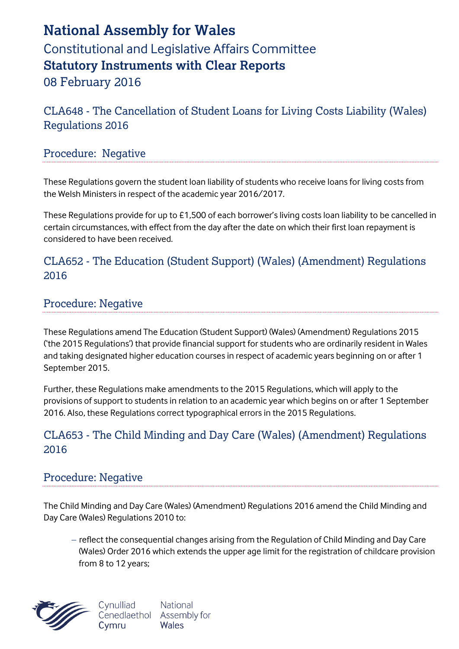# **National Assembly for Wales** Constitutional and Legislative Affairs Committee **Statutory Instruments with Clear Reports** 08 February 2016

CLA648 - The Cancellation of Student Loans for Living Costs Liability (Wales) Regulations 2016

#### Procedure: Negative

These Regulations govern the student loan liability of students who receive loans for living costs from the Welsh Ministers in respect of the academic year 2016/2017.

These Regulations provide for up to £1,500 of each borrower's living costs loan liability to be cancelled in certain circumstances, with effect from the day after the date on which their first loan repayment is considered to have been received.

### CLA652 - The Education (Student Support) (Wales) (Amendment) Regulations 2016

#### Procedure: Negative

These Regulations amend The Education (Student Support) (Wales) (Amendment) Regulations 2015 ('the 2015 Regulations') that provide financial support for students who are ordinarily resident in Wales and taking designated higher education courses in respect of academic years beginning on or after 1 September 2015.

Further, these Regulations make amendments to the 2015 Regulations, which will apply to the provisions of support to students in relation to an academic year which begins on or after 1 September 2016. Also, these Regulations correct typographical errors in the 2015 Regulations.

### CLA653 - The Child Minding and Day Care (Wales) (Amendment) Regulations 2016

#### Procedure: Negative

The Child Minding and Day Care (Wales) (Amendment) Regulations 2016 amend the Child Minding and Day Care (Wales) Regulations 2010 to:

- reflect the consequential changes arising from the Regulation of Child Minding and Day Care (Wales) Order 2016 which extends the upper age limit for the registration of childcare provision from 8 to 12 years;



National Cynulliad Cenedlaethol Assembly for Wales Cymru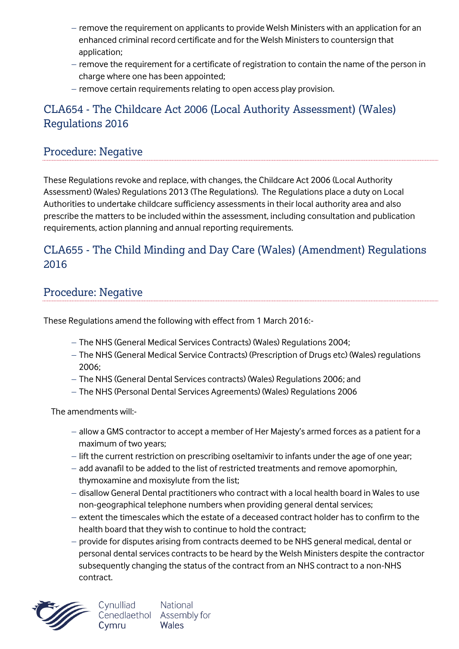- remove the requirement on applicants to provide Welsh Ministers with an application for an enhanced criminal record certificate and for the Welsh Ministers to countersign that application;
- $-$  remove the requirement for a certificate of registration to contain the name of the person in charge where one has been appointed;
- $-$  remove certain requirements relating to open access play provision.

### CLA654 - The Childcare Act 2006 (Local Authority Assessment) (Wales) Regulations 2016

### Procedure: Negative

These Regulations revoke and replace, with changes, the Childcare Act 2006 (Local Authority Assessment) (Wales) Regulations 2013 (The Regulations). The Regulations place a duty on Local Authorities to undertake childcare sufficiency assessments in their local authority area and also prescribe the matters to be included within the assessment, including consultation and publication requirements, action planning and annual reporting requirements.

### CLA655 - The Child Minding and Day Care (Wales) (Amendment) Regulations 2016

### Procedure: Negative

These Regulations amend the following with effect from 1 March 2016:-

- The NHS (General Medical Services Contracts) (Wales) Regulations 2004;
- The NHS (General Medical Service Contracts) (Prescription of Drugs etc) (Wales) regulations 2006;
- The NHS (General Dental Services contracts) (Wales) Regulations 2006; and
- The NHS (Personal Dental Services Agreements) (Wales) Regulations 2006

The amendments will:-

- allow a GMS contractor to accept a member of Her Majesty's armed forces as a patient for a maximum of two years;
- lift the current restriction on prescribing oseltamivir to infants under the age of one year;
- $-$  add avanafil to be added to the list of restricted treatments and remove apomorphin, thymoxamine and moxisylute from the list;
- disallow General Dental practitioners who contract with a local health board in Wales to use non-geographical telephone numbers when providing general dental services;
- extent the timescales which the estate of a deceased contract holder has to confirm to the health board that they wish to continue to hold the contract;
- provide for disputes arising from contracts deemed to be NHS general medical, dental or personal dental services contracts to be heard by the Welsh Ministers despite the contractor subsequently changing the status of the contract from an NHS contract to a non-NHS contract.

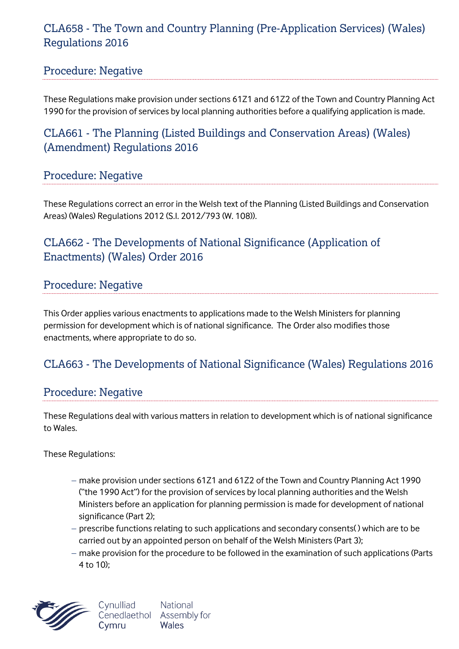### CLA658 - The Town and Country Planning (Pre-Application Services) (Wales) Regulations 2016

### Procedure: Negative

These Regulations make provision under sections 61Z1 and 61Z2 of the Town and Country Planning Act 1990 for the provision of services by local planning authorities before a qualifying application is made.

# CLA661 - The Planning (Listed Buildings and Conservation Areas) (Wales) (Amendment) Regulations 2016

### Procedure: Negative

These Regulations correct an error in the Welsh text of the Planning (Listed Buildings and Conservation Areas) (Wales) Regulations 2012 (S.I. 2012/793 (W. 108)).

# CLA662 - The Developments of National Significance (Application of Enactments) (Wales) Order 2016

### Procedure: Negative

This Order applies various enactments to applications made to the Welsh Ministers for planning permission for development which is of national significance. The Order also modifies those enactments, where appropriate to do so.

# CLA663 - The Developments of National Significance (Wales) Regulations 2016

#### Procedure: Negative

These Regulations deal with various matters in relation to development which is of national significance to Wales.

These Regulations:

- make provision under sections 61Z1 and 61Z2 of the Town and Country Planning Act 1990 ("the 1990 Act") for the provision of services by local planning authorities and the Welsh Ministers before an application for planning permission is made for development of national significance (Part 2);
- prescribe functions relating to such applications and secondary consents() which are to be carried out by an appointed person on behalf of the Welsh Ministers (Part 3);
- $-$  make provision for the procedure to be followed in the examination of such applications (Parts 4 to 10);

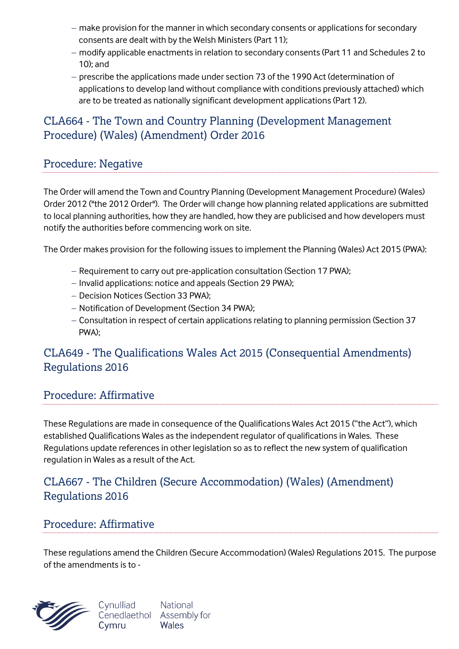- $-$  make provision for the manner in which secondary consents or applications for secondary consents are dealt with by the Welsh Ministers (Part 11);
- modify applicable enactments in relation to secondary consents (Part 11 and Schedules 2 to 10); and
- prescribe the applications made under section 73 of the 1990 Act (determination of applications to develop land without compliance with conditions previously attached) which are to be treated as nationally significant development applications (Part 12).

# CLA664 - The Town and Country Planning (Development Management Procedure) (Wales) (Amendment) Order 2016

### Procedure: Negative

The Order will amend the Town and Country Planning (Development Management Procedure) (Wales) Order 2012 ("the 2012 Order"). The Order will change how planning related applications are submitted to local planning authorities, how they are handled, how they are publicised and how developers must notify the authorities before commencing work on site.

The Order makes provision for the following issues to implement the Planning (Wales) Act 2015 (PWA):

- Requirement to carry out pre-application consultation (Section 17 PWA);
- Invalid applications: notice and appeals (Section 29 PWA):
- Decision Notices (Section 33 PWA);
- Notification of Development (Section 34 PWA);
- Consultation in respect of certain applications relating to planning permission (Section 37 PWA);

### CLA649 - The Qualifications Wales Act 2015 (Consequential Amendments) Regulations 2016

### Procedure: Affirmative

These Regulations are made in consequence of the Qualifications Wales Act 2015 ("the Act"), which established Qualifications Wales as the independent regulator of qualifications in Wales. These Regulations update references in other legislation so as to reflect the new system of qualification regulation in Wales as a result of the Act.

### CLA667 - The Children (Secure Accommodation) (Wales) (Amendment) Regulations 2016

#### Procedure: Affirmative

These regulations amend the Children (Secure Accommodation) (Wales) Regulations 2015. The purpose of the amendments is to -



National Cynulliad Cenedlaethol Assembly for Cymru Wales